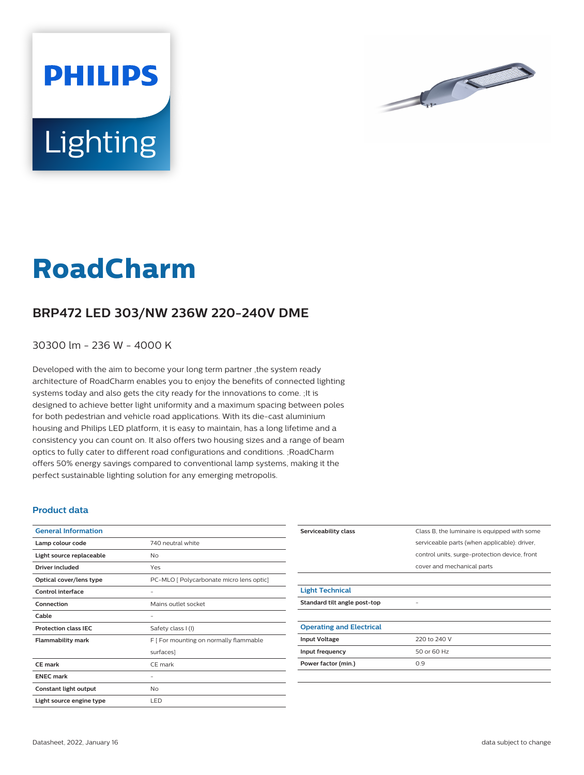



## **RoadCharm**

## **BRP472 LED 303/NW 236W 220-240V DME**

30300 lm - 236 W - 4000 K

Developed with the aim to become your long term partner ,the system ready architecture of RoadCharm enables you to enjoy the benefits of connected lighting systems today and also gets the city ready for the innovations to come. ;It is designed to achieve better light uniformity and a maximum spacing between poles for both pedestrian and vehicle road applications. With its die-cast aluminium housing and Philips LED platform, it is easy to maintain, has a long lifetime and a consistency you can count on. It also offers two housing sizes and a range of beam optics to fully cater to different road configurations and conditions. ;RoadCharm offers 50% energy savings compared to conventional lamp systems, making it the perfect sustainable lighting solution for any emerging metropolis.

## **Product data**

| <b>General Information</b>  |                                          |
|-----------------------------|------------------------------------------|
| Lamp colour code            | 740 neutral white                        |
| Light source replaceable    | No                                       |
| Driver included             | Yes                                      |
| Optical cover/lens type     | PC-MLO [ Polycarbonate micro lens optic] |
| Control interface           |                                          |
| Connection                  | Mains outlet socket                      |
| Cable                       |                                          |
| <b>Protection class IEC</b> | Safety class I (I)                       |
| <b>Flammability mark</b>    | F [ For mounting on normally flammable   |
|                             | surfaces]                                |
| CF mark                     | CE mark                                  |
| <b>ENEC mark</b>            |                                          |
| Constant light output       | No                                       |
| Light source engine type    | LED                                      |

| Serviceability class            | Class B, the luminaire is equipped with some  |
|---------------------------------|-----------------------------------------------|
|                                 | serviceable parts (when applicable): driver,  |
|                                 | control units, surge-protection device, front |
|                                 | cover and mechanical parts                    |
|                                 |                                               |
| <b>Light Technical</b>          |                                               |
| Standard tilt angle post-top    |                                               |
|                                 |                                               |
| <b>Operating and Electrical</b> |                                               |
| <b>Input Voltage</b>            | 220 to 240 V                                  |
| Input frequency                 | 50 or 60 Hz                                   |
| Power factor (min.)             | 0.9                                           |
|                                 |                                               |